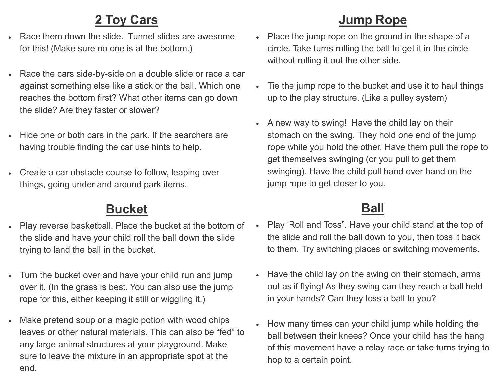## **2 Toy Cars**

- Race them down the slide. Tunnel slides are awesome for this! (Make sure no one is at the bottom.)
- Race the cars side-by-side on a double slide or race a car against something else like a stick or the ball. Which one reaches the bottom first? What other items can go down the slide? Are they faster or slower?
- Hide one or both cars in the park. If the searchers are having trouble finding the car use hints to help.
- Create a car obstacle course to follow, leaping over things, going under and around park items.

## **Bucket**

- Play reverse basketball. Place the bucket at the bottom of the slide and have your child roll the ball down the slide trying to land the ball in the bucket.
- Turn the bucket over and have your child run and jump over it. (In the grass is best. You can also use the jump rope for this, either keeping it still or wiggling it.)
- Make pretend soup or a magic potion with wood chips leaves or other natural materials. This can also be "fed" to any large animal structures at your playground. Make sure to leave the mixture in an appropriate spot at the end.

## **Jump Rope**

- Place the jump rope on the ground in the shape of a circle. Take turns rolling the ball to get it in the circle without rolling it out the other side.
- Tie the jump rope to the bucket and use it to haul things up to the play structure. (Like a pulley system)
- A new way to swing! Have the child lay on their stomach on the swing. They hold one end of the jump rope while you hold the other. Have them pull the rope to get themselves swinging (or you pull to get them swinging). Have the child pull hand over hand on the jump rope to get closer to you.

## **Ball**

- Play 'Roll and Toss". Have your child stand at the top of the slide and roll the ball down to you, then toss it back to them. Try switching places or switching movements.
- Have the child lay on the swing on their stomach, arms out as if flying! As they swing can they reach a ball held in your hands? Can they toss a ball to you?
- How many times can your child jump while holding the ball between their knees? Once your child has the hang of this movement have a relay race or take turns trying to hop to a certain point.